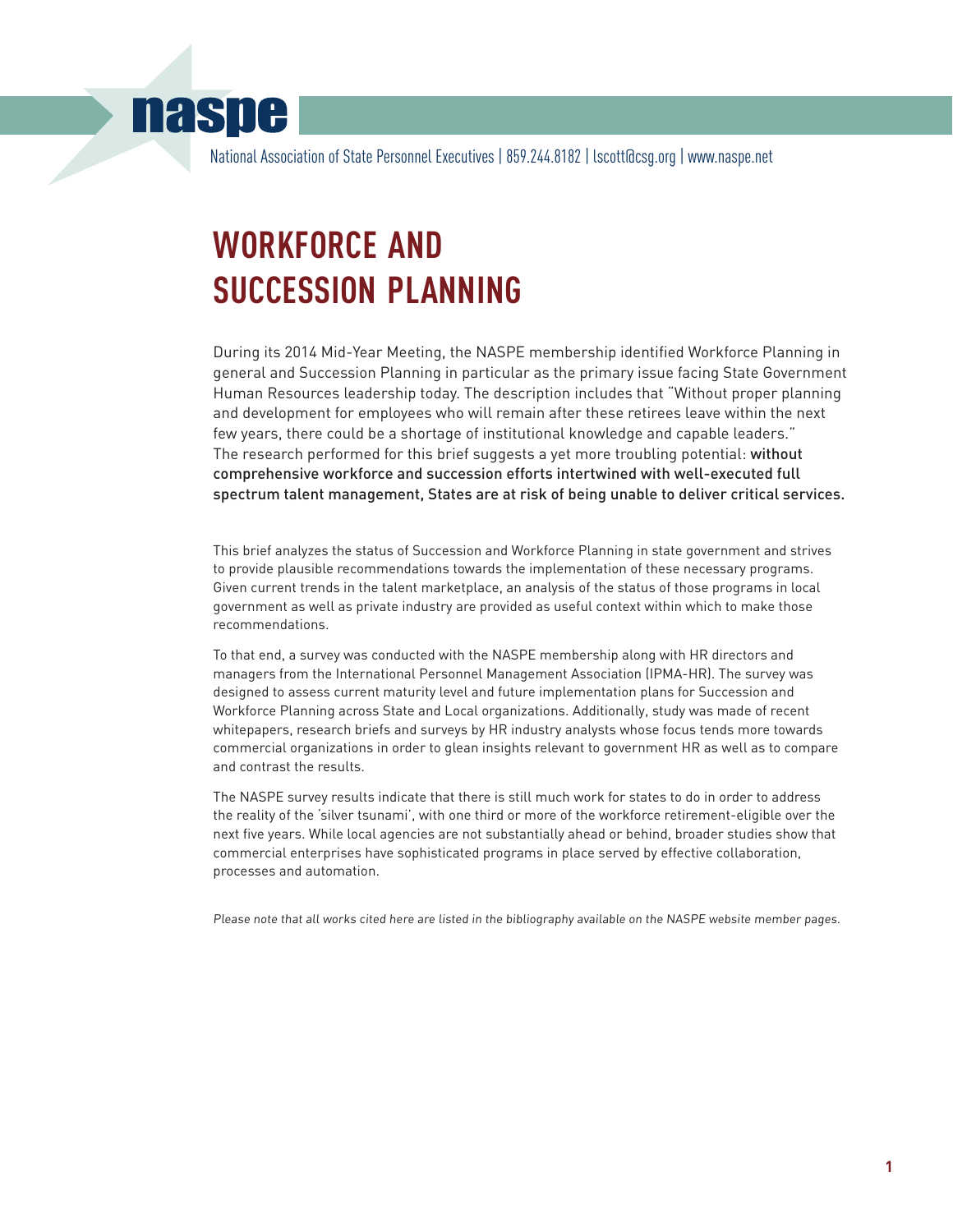# **naspe**

National Association of State Personnel Executives | 859.244.8182 | lscott@csg.org | www.naspe.net

# **WORKFORCE AND SUCCESSION PLANNING**

During its 2014 Mid-Year Meeting, the NASPE membership identified Workforce Planning in general and Succession Planning in particular as the primary issue facing State Government Human Resources leadership today. The description includes that "Without proper planning and development for employees who will remain after these retirees leave within the next few years, there could be a shortage of institutional knowledge and capable leaders." The research performed for this brief suggests a yet more troubling potential: without comprehensive workforce and succession efforts intertwined with well-executed full spectrum talent management, States are at risk of being unable to deliver critical services.

This brief analyzes the status of Succession and Workforce Planning in state government and strives to provide plausible recommendations towards the implementation of these necessary programs. Given current trends in the talent marketplace, an analysis of the status of those programs in local government as well as private industry are provided as useful context within which to make those recommendations.

To that end, a survey was conducted with the NASPE membership along with HR directors and managers from the International Personnel Management Association (IPMA-HR). The survey was designed to assess current maturity level and future implementation plans for Succession and Workforce Planning across State and Local organizations. Additionally, study was made of recent whitepapers, research briefs and surveys by HR industry analysts whose focus tends more towards commercial organizations in order to glean insights relevant to government HR as well as to compare and contrast the results.

The NASPE survey results indicate that there is still much work for states to do in order to address the reality of the 'silver tsunami', with one third or more of the workforce retirement-eligible over the next five years. While local agencies are not substantially ahead or behind, broader studies show that commercial enterprises have sophisticated programs in place served by effective collaboration, processes and automation.

Please note that all works cited here are listed in the bibliography available on the NASPE website member pages.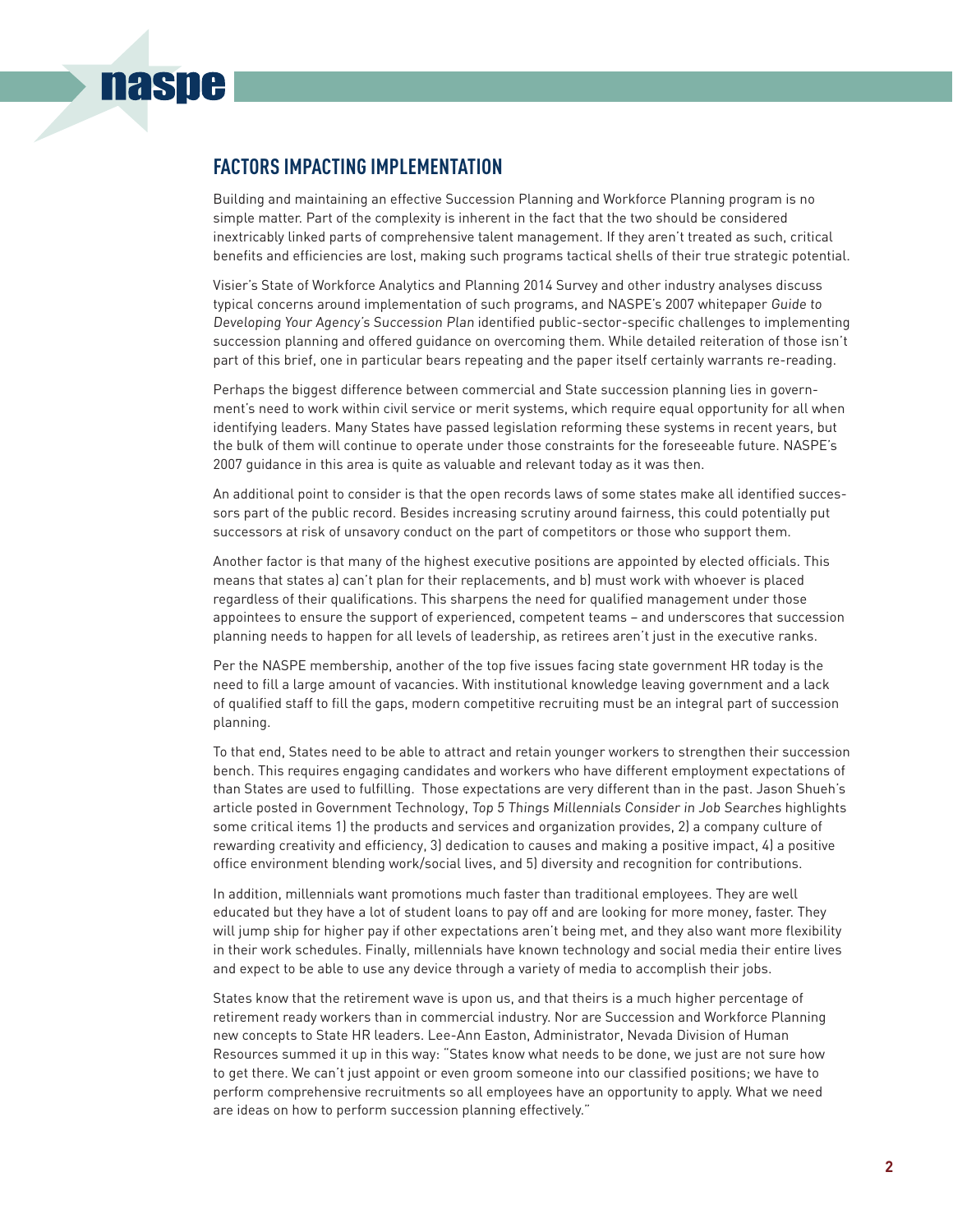## **FACTORS IMPACTING IMPLEMENTATION**

**nasne** 

Building and maintaining an effective Succession Planning and Workforce Planning program is no simple matter. Part of the complexity is inherent in the fact that the two should be considered inextricably linked parts of comprehensive talent management. If they aren't treated as such, critical benefits and efficiencies are lost, making such programs tactical shells of their true strategic potential.

Visier's State of Workforce Analytics and Planning 2014 Survey and other industry analyses discuss typical concerns around implementation of such programs, and NASPE's 2007 whitepaper Guide to Developing Your Agency's Succession Plan identified public-sector-specific challenges to implementing succession planning and offered guidance on overcoming them. While detailed reiteration of those isn't part of this brief, one in particular bears repeating and the paper itself certainly warrants re-reading.

Perhaps the biggest difference between commercial and State succession planning lies in government's need to work within civil service or merit systems, which require equal opportunity for all when identifying leaders. Many States have passed legislation reforming these systems in recent years, but the bulk of them will continue to operate under those constraints for the foreseeable future. NASPE's 2007 guidance in this area is quite as valuable and relevant today as it was then.

An additional point to consider is that the open records laws of some states make all identified successors part of the public record. Besides increasing scrutiny around fairness, this could potentially put successors at risk of unsavory conduct on the part of competitors or those who support them.

Another factor is that many of the highest executive positions are appointed by elected officials. This means that states a) can't plan for their replacements, and b) must work with whoever is placed regardless of their qualifications. This sharpens the need for qualified management under those appointees to ensure the support of experienced, competent teams – and underscores that succession planning needs to happen for all levels of leadership, as retirees aren't just in the executive ranks.

Per the NASPE membership, another of the top five issues facing state government HR today is the need to fill a large amount of vacancies. With institutional knowledge leaving government and a lack of qualified staff to fill the gaps, modern competitive recruiting must be an integral part of succession planning.

To that end, States need to be able to attract and retain younger workers to strengthen their succession bench. This requires engaging candidates and workers who have different employment expectations of than States are used to fulfilling. Those expectations are very different than in the past. Jason Shueh's article posted in Government Technology, Top 5 Things Millennials Consider in Job Searches highlights some critical items 1) the products and services and organization provides, 2) a company culture of rewarding creativity and efficiency, 3) dedication to causes and making a positive impact, 4) a positive office environment blending work/social lives, and 5) diversity and recognition for contributions.

In addition, millennials want promotions much faster than traditional employees. They are well educated but they have a lot of student loans to pay off and are looking for more money, faster. They will jump ship for higher pay if other expectations aren't being met, and they also want more flexibility in their work schedules. Finally, millennials have known technology and social media their entire lives and expect to be able to use any device through a variety of media to accomplish their jobs.

States know that the retirement wave is upon us, and that theirs is a much higher percentage of retirement ready workers than in commercial industry. Nor are Succession and Workforce Planning new concepts to State HR leaders. Lee-Ann Easton, Administrator, Nevada Division of Human Resources summed it up in this way: "States know what needs to be done, we just are not sure how to get there. We can't just appoint or even groom someone into our classified positions; we have to perform comprehensive recruitments so all employees have an opportunity to apply. What we need are ideas on how to perform succession planning effectively."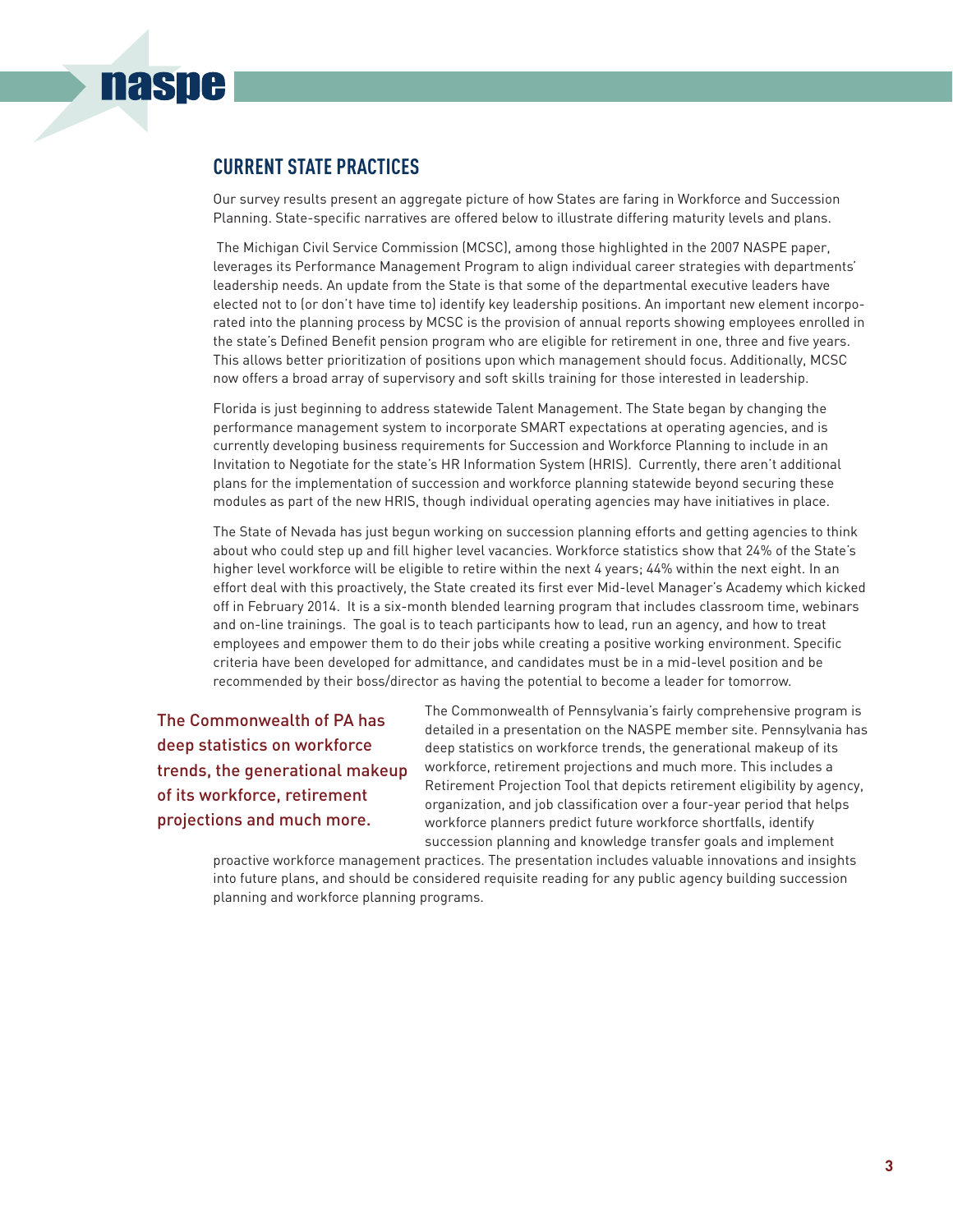## **CURRENT STATE PRACTICES**

**naspe** 

Our survey results present an aggregate picture of how States are faring in Workforce and Succession Planning. State-specific narratives are offered below to illustrate differing maturity levels and plans.

 The Michigan Civil Service Commission (MCSC), among those highlighted in the 2007 NASPE paper, leverages its Performance Management Program to align individual career strategies with departments' leadership needs. An update from the State is that some of the departmental executive leaders have elected not to (or don't have time to) identify key leadership positions. An important new element incorporated into the planning process by MCSC is the provision of annual reports showing employees enrolled in the state's Defined Benefit pension program who are eligible for retirement in one, three and five years. This allows better prioritization of positions upon which management should focus. Additionally, MCSC now offers a broad array of supervisory and soft skills training for those interested in leadership.

Florida is just beginning to address statewide Talent Management. The State began by changing the performance management system to incorporate SMART expectations at operating agencies, and is currently developing business requirements for Succession and Workforce Planning to include in an Invitation to Negotiate for the state's HR Information System (HRIS). Currently, there aren't additional plans for the implementation of succession and workforce planning statewide beyond securing these modules as part of the new HRIS, though individual operating agencies may have initiatives in place.

The State of Nevada has just begun working on succession planning efforts and getting agencies to think about who could step up and fill higher level vacancies. Workforce statistics show that 24% of the State's higher level workforce will be eligible to retire within the next 4 years; 44% within the next eight. In an effort deal with this proactively, the State created its first ever Mid-level Manager's Academy which kicked off in February 2014. It is a six-month blended learning program that includes classroom time, webinars and on-line trainings. The goal is to teach participants how to lead, run an agency, and how to treat employees and empower them to do their jobs while creating a positive working environment. Specific criteria have been developed for admittance, and candidates must be in a mid-level position and be recommended by their boss/director as having the potential to become a leader for tomorrow.

The Commonwealth of PA has deep statistics on workforce trends, the generational makeup of its workforce, retirement projections and much more.

The Commonwealth of Pennsylvania's fairly comprehensive program is detailed in a presentation on the NASPE member site. Pennsylvania has deep statistics on workforce trends, the generational makeup of its workforce, retirement projections and much more. This includes a Retirement Projection Tool that depicts retirement eligibility by agency, organization, and job classification over a four-year period that helps workforce planners predict future workforce shortfalls, identify succession planning and knowledge transfer goals and implement

proactive workforce management practices. The presentation includes valuable innovations and insights into future plans, and should be considered requisite reading for any public agency building succession planning and workforce planning programs.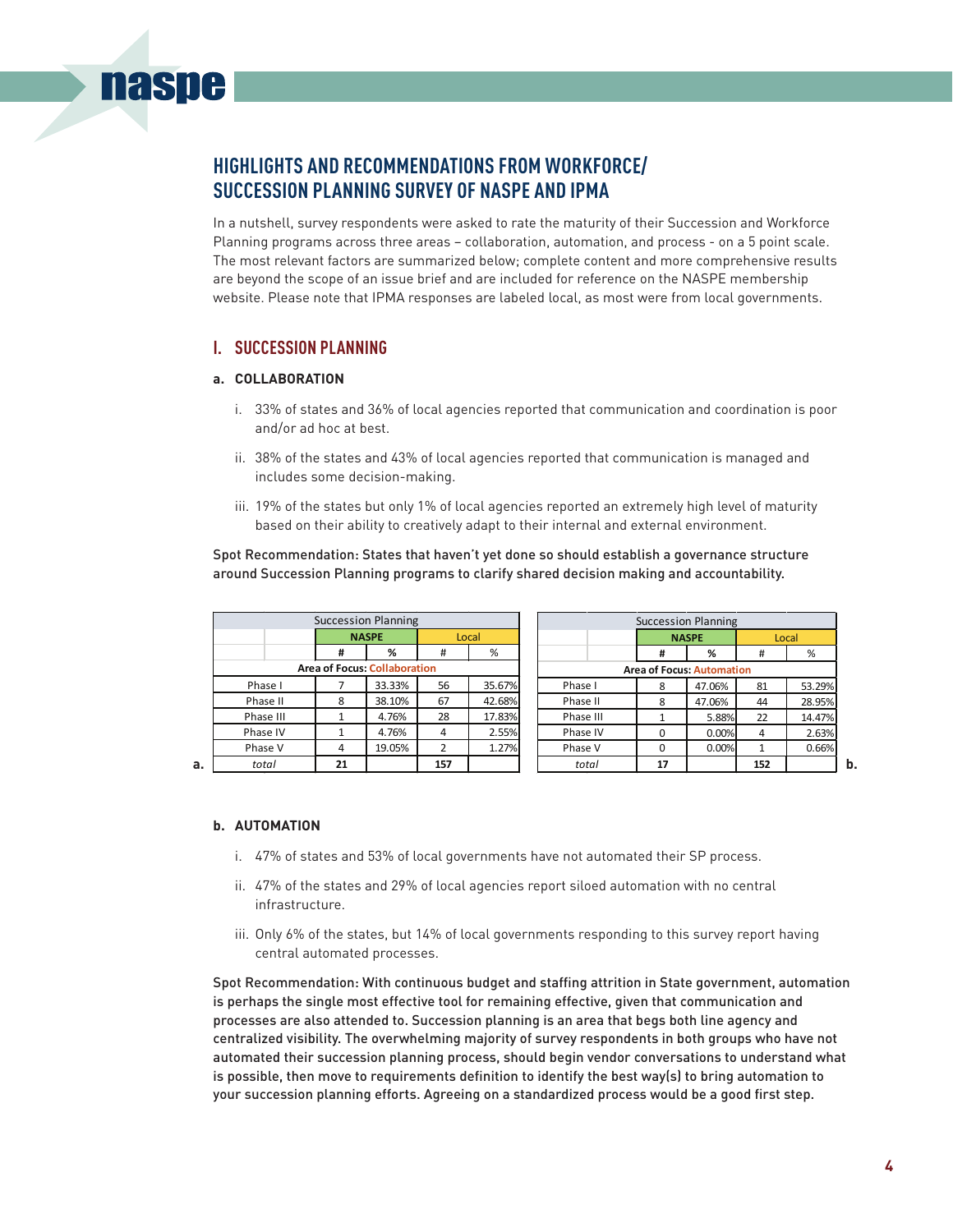## **HIGHLIGHTS AND RECOMMENDATIONS FROM WORKFORCE/ SUCCESSION PLANNING SURVEY OF NASPE AND IPMA**

In a nutshell, survey respondents were asked to rate the maturity of their Succession and Workforce Planning programs across three areas – collaboration, automation, and process - on a 5 point scale. The most relevant factors are summarized below; complete content and more comprehensive results are beyond the scope of an issue brief and are included for reference on the NASPE membership website. Please note that IPMA responses are labeled local, as most were from local governments.

### **I. SUCCESSION PLANNING**

#### **a. COLLABORATION**

**nasne** 

- i. 33% of states and 36% of local agencies reported that communication and coordination is poor and/or ad hoc at best.
- ii. 38% of the states and 43% of local agencies reported that communication is managed and includes some decision-making.
- iii. 19% of the states but only 1% of local agencies reported an extremely high level of maturity based on their ability to creatively adapt to their internal and external environment.

Spot Recommendation: States that haven't yet done so should establish a governance structure around Succession Planning programs to clarify shared decision making and accountability.

|           |              | <b>Succession Planning</b>          |       |        |           |                                  | <b>Succession Planning</b> |     |        |  |
|-----------|--------------|-------------------------------------|-------|--------|-----------|----------------------------------|----------------------------|-----|--------|--|
|           | <b>NASPE</b> |                                     | Local |        |           |                                  | <b>NASPE</b>               |     | Local  |  |
|           | #            | %                                   | #     | %      |           | #                                | %                          | #   | %      |  |
|           |              | <b>Area of Focus: Collaboration</b> |       |        |           | <b>Area of Focus: Automation</b> |                            |     |        |  |
| Phase I   |              | 33.33%                              | 56    | 35.67% | Phase I   | 8                                | 47.06%                     | 81  | 53.29% |  |
| Phase II  | 8            | 38.10%                              | 67    | 42.68% | Phase II  | 8                                | 47.06%                     | 44  | 28.95% |  |
| Phase III |              | 4.76%                               | 28    | 17.83% | Phase III |                                  | 5.88%                      | 22  | 14.47% |  |
| Phase IV  |              | 4.76%                               | 4     | 2.55%  | Phase IV  |                                  | 0.00%                      | 4   | 2.63%  |  |
| Phase V   | 4            | 19.05%                              | 2     | 1.27%  | Phase V   | $\Omega$                         | 0.00%                      | 1   | 0.66%  |  |
| total     | 21           |                                     | 157   |        | total     | 17                               |                            | 152 |        |  |

#### **b. AUTOMATION**

- i. 47% of states and 53% of local governments have not automated their SP process.
- ii. 47% of the states and 29% of local agencies report siloed automation with no central infrastructure.
- iii. Only 6% of the states, but 14% of local governments responding to this survey report having central automated processes.

Spot Recommendation: With continuous budget and staffing attrition in State government, automation is perhaps the single most effective tool for remaining effective, given that communication and processes are also attended to. Succession planning is an area that begs both line agency and centralized visibility. The overwhelming majority of survey respondents in both groups who have not automated their succession planning process, should begin vendor conversations to understand what is possible, then move to requirements definition to identify the best way(s) to bring automation to your succession planning efforts. Agreeing on a standardized process would be a good first step.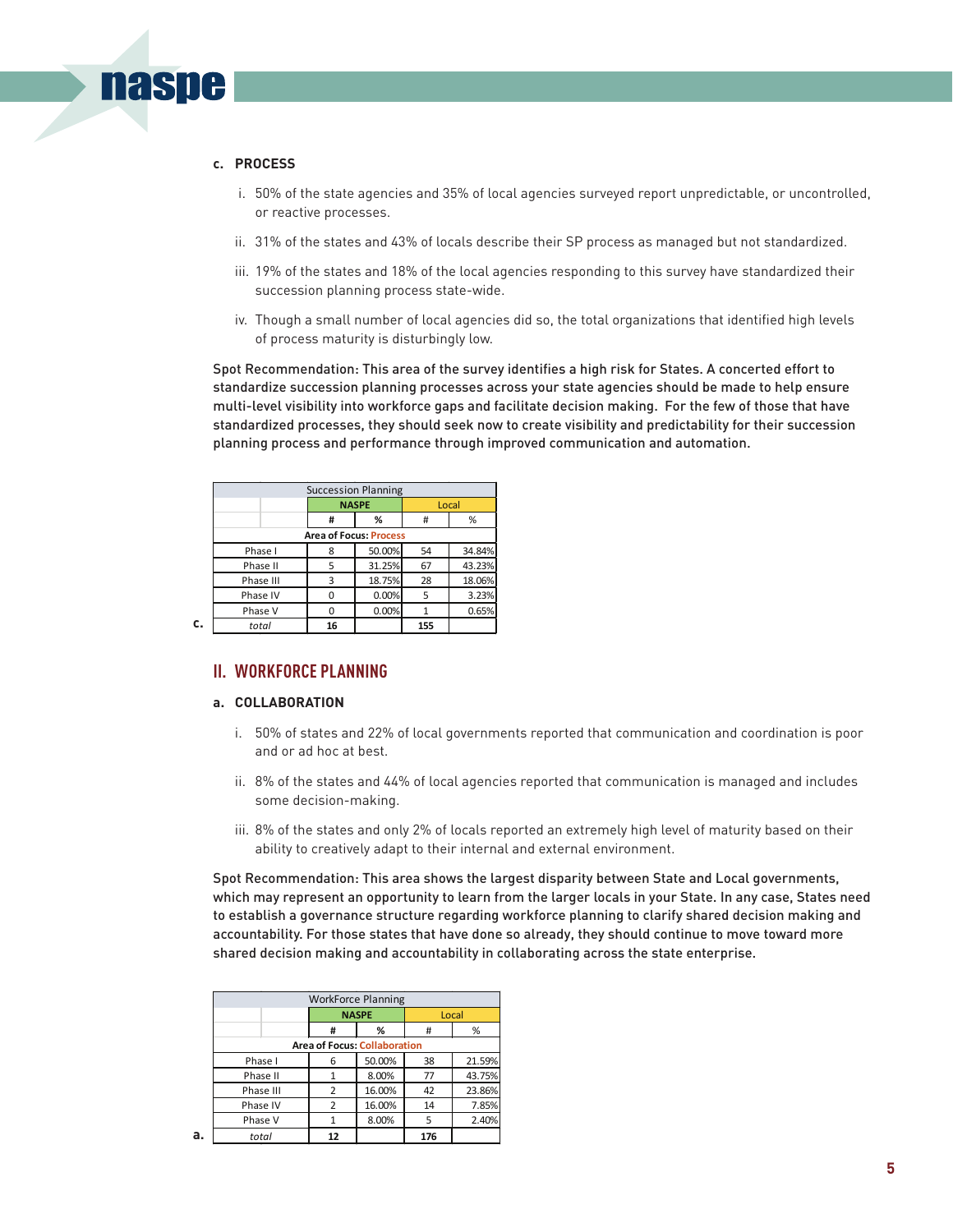#### **c. PROCESS**

**naspe** 

- i. 50% of the state agencies and 35% of local agencies surveyed report unpredictable, or uncontrolled, or reactive processes.
- ii. 31% of the states and 43% of locals describe their SP process as managed but not standardized.
- iii. 19% of the states and 18% of the local agencies responding to this survey have standardized their succession planning process state-wide.
- iv. Though a small number of local agencies did so, the total organizations that identified high levels of process maturity is disturbingly low.

Spot Recommendation: This area of the survey identifies a high risk for States. A concerted effort to standardize succession planning processes across your state agencies should be made to help ensure multi-level visibility into workforce gaps and facilitate decision making. For the few of those that have standardized processes, they should seek now to create visibility and predictability for their succession planning process and performance through improved communication and automation.

| <b>Succession Planning</b>    |    |              |       |        |  |  |  |  |  |
|-------------------------------|----|--------------|-------|--------|--|--|--|--|--|
|                               |    | <b>NASPE</b> | Local |        |  |  |  |  |  |
|                               | #  | %            | #     | %      |  |  |  |  |  |
| <b>Area of Focus: Process</b> |    |              |       |        |  |  |  |  |  |
| Phase I                       | 8  | 50.00%       | 54    | 34.84% |  |  |  |  |  |
| Phase II                      | 5  | 31.25%       | 67    | 43.23% |  |  |  |  |  |
| Phase III                     | 3  | 18.75%       | 28    | 18.06% |  |  |  |  |  |
| Phase IV                      | 0  | 0.00%        | 5     | 3.23%  |  |  |  |  |  |
| Phase V                       | 0  | 0.00%        |       | 0.65%  |  |  |  |  |  |
| total                         | 16 |              | 155   |        |  |  |  |  |  |

**c.**

### **II. WORKFORCE PLANNING**

#### **a. COLLABORATION**

- i. 50% of states and 22% of local governments reported that communication and coordination is poor and or ad hoc at best.
- ii. 8% of the states and 44% of local agencies reported that communication is managed and includes some decision-making.
- iii. 8% of the states and only 2% of locals reported an extremely high level of maturity based on their ability to creatively adapt to their internal and external environment.

Spot Recommendation: This area shows the largest disparity between State and Local governments, which may represent an opportunity to learn from the larger locals in your State. In any case, States need to establish a governance structure regarding workforce planning to clarify shared decision making and accountability. For those states that have done so already, they should continue to move toward more shared decision making and accountability in collaborating across the state enterprise.

|           |                                     | <b>WorkForce Planning</b> | Local<br>%<br>%<br>#<br>21.59%<br>38<br>43.75%<br>8.00%<br>77 |        |  |  |  |  |  |  |
|-----------|-------------------------------------|---------------------------|---------------------------------------------------------------|--------|--|--|--|--|--|--|
|           |                                     | <b>NASPE</b>              |                                                               |        |  |  |  |  |  |  |
|           | #                                   |                           |                                                               |        |  |  |  |  |  |  |
|           | <b>Area of Focus: Collaboration</b> |                           |                                                               |        |  |  |  |  |  |  |
| Phase I   | 6                                   | 50.00%                    |                                                               |        |  |  |  |  |  |  |
| Phase II  |                                     |                           |                                                               |        |  |  |  |  |  |  |
| Phase III |                                     | 16.00%                    | 42                                                            | 23.86% |  |  |  |  |  |  |
| Phase IV  | 2                                   | 16.00%                    | 14                                                            | 7.85%  |  |  |  |  |  |  |
| Phase V   |                                     | 8.00%                     | 5                                                             | 2.40%  |  |  |  |  |  |  |
| total     | 12                                  |                           | 176                                                           |        |  |  |  |  |  |  |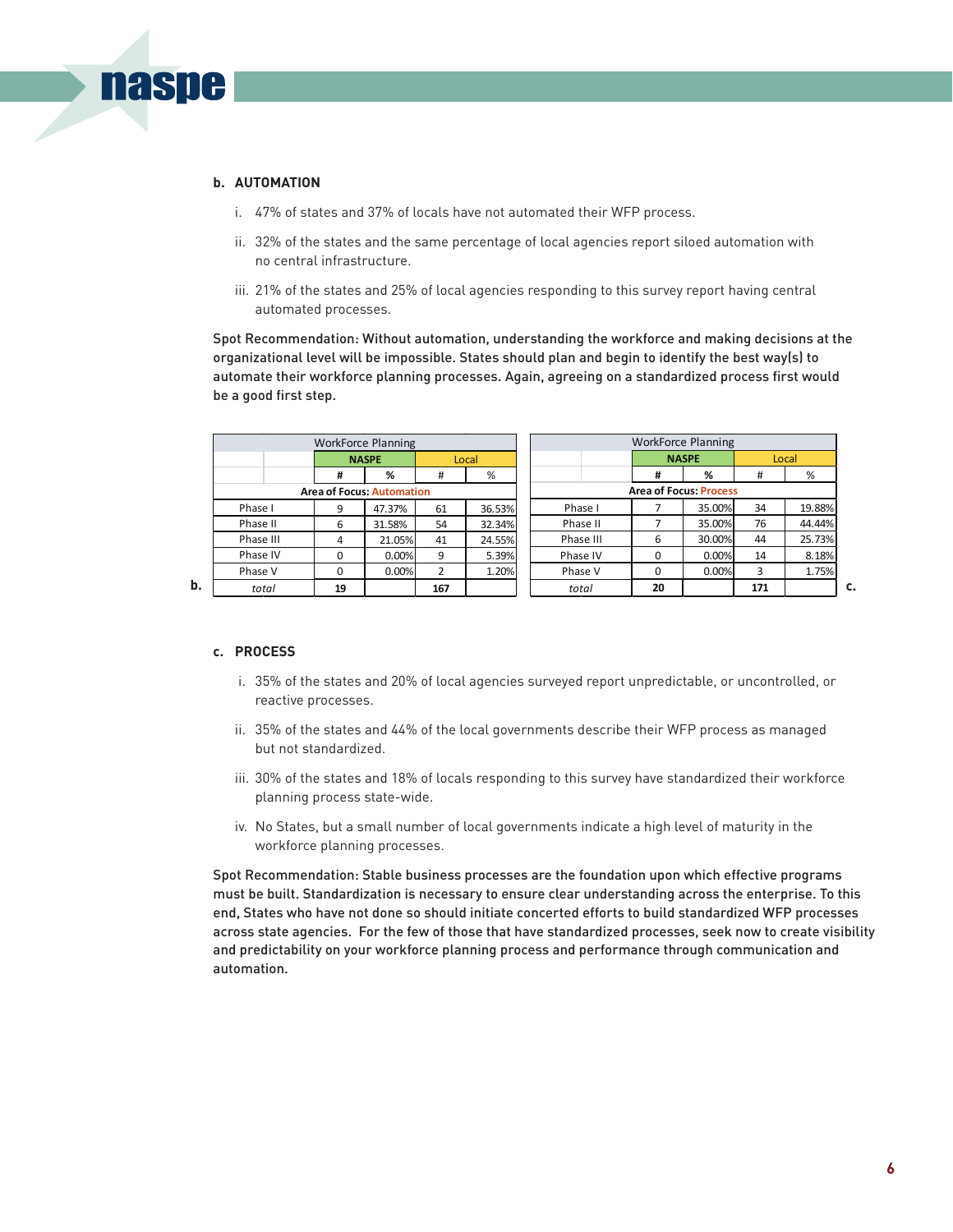

**naspe** 

- i. 47% of states and 37% of locals have not automated their WFP process.
- ii. 32% of the states and the same percentage of local agencies report siloed automation with no central infrastructure.
- iii. 21% of the states and 25% of local agencies responding to this survey report having central automated processes.

Spot Recommendation: Without automation, understanding the workforce and making decisions at the organizational level will be impossible. States should plan and begin to identify the best way(s) to automate their workforce planning processes. Again, agreeing on a standardized process first would be a good first step.

|                                  |          | <b>WorkForce Planning</b> |     |                       |  |                               | <b>WorkForce Planning</b> |        |     |        |  |
|----------------------------------|----------|---------------------------|-----|-----------------------|--|-------------------------------|---------------------------|--------|-----|--------|--|
|                                  |          | <b>NASPE</b>              |     | <b>NASPE</b><br>Local |  |                               | Local                     |        |     |        |  |
|                                  | #        | %                         | #   | %                     |  |                               | #                         | %      | #   | %      |  |
| <b>Area of Focus: Automation</b> |          |                           |     |                       |  | <b>Area of Focus: Process</b> |                           |        |     |        |  |
| Phase I                          | 9        | 47.37%                    | 61  | 36.53%                |  | Phase I                       |                           | 35.00% | 34  | 19.88% |  |
| Phase II                         | 6        | 31.58%                    | 54  | 32.34%                |  | Phase II                      |                           | 35.00% | 76  | 44.44% |  |
| Phase III                        | 4        | 21.05%                    | 41  | 24.55%                |  | Phase III                     | 6                         | 30.00% | 44  | 25.73% |  |
| Phase IV                         | O        | 0.00%                     | 9   | 5.39%                 |  | Phase IV                      | $\Omega$                  | 0.00%  | 14  | 8.18%  |  |
| Phase V                          | $\Omega$ | 0.00%                     | 2   | 1.20%                 |  | Phase V                       | $\Omega$                  | 0.00%  | 3   | 1.75%  |  |
| total                            | 19       |                           | 167 |                       |  | total                         | 20                        |        | 171 |        |  |

#### **c. PROCESS**

- i. 35% of the states and 20% of local agencies surveyed report unpredictable, or uncontrolled, or reactive processes.
- ii. 35% of the states and 44% of the local governments describe their WFP process as managed but not standardized.
- iii. 30% of the states and 18% of locals responding to this survey have standardized their workforce planning process state-wide.
- iv. No States, but a small number of local governments indicate a high level of maturity in the workforce planning processes.

Spot Recommendation: Stable business processes are the foundation upon which effective programs must be built. Standardization is necessary to ensure clear understanding across the enterprise. To this end, States who have not done so should initiate concerted efforts to build standardized WFP processes across state agencies. For the few of those that have standardized processes, seek now to create visibility and predictability on your workforce planning process and performance through communication and automation.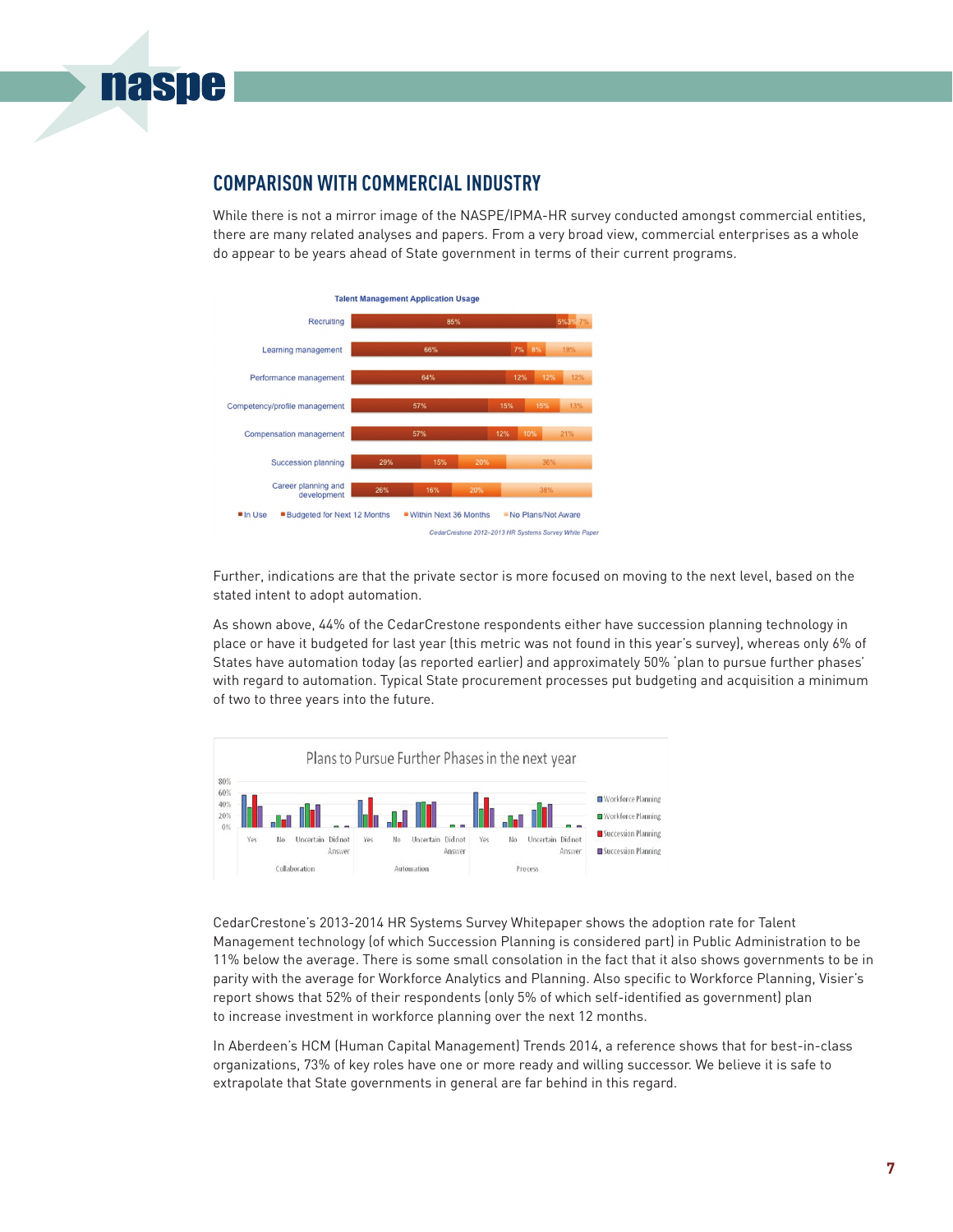

## **COMPARISON WITH COMMERCIAL INDUSTRY**

While there is not a mirror image of the NASPE/IPMA-HR survey conducted amongst commercial entities, there are many related analyses and papers. From a very broad view, commercial enterprises as a whole do appear to be years ahead of State government in terms of their current programs.



Further, indications are that the private sector is more focused on moving to the next level, based on the stated intent to adopt automation.

As shown above, 44% of the CedarCrestone respondents either have succession planning technology in place or have it budgeted for last year (this metric was not found in this year's survey), whereas only 6% of States have automation today (as reported earlier) and approximately 50% 'plan to pursue further phases' with regard to automation. Typical State procurement processes put budgeting and acquisition a minimum of two to three years into the future.



CedarCrestone's 2013-2014 HR Systems Survey Whitepaper shows the adoption rate for Talent Management technology (of which Succession Planning is considered part) in Public Administration to be 11% below the average. There is some small consolation in the fact that it also shows governments to be in parity with the average for Workforce Analytics and Planning. Also specific to Workforce Planning, Visier's report shows that 52% of their respondents (only 5% of which self-identified as government) plan to increase investment in workforce planning over the next 12 months.

In Aberdeen's HCM (Human Capital Management) Trends 2014, a reference shows that for best-in-class organizations, 73% of key roles have one or more ready and willing successor. We believe it is safe to extrapolate that State governments in general are far behind in this regard.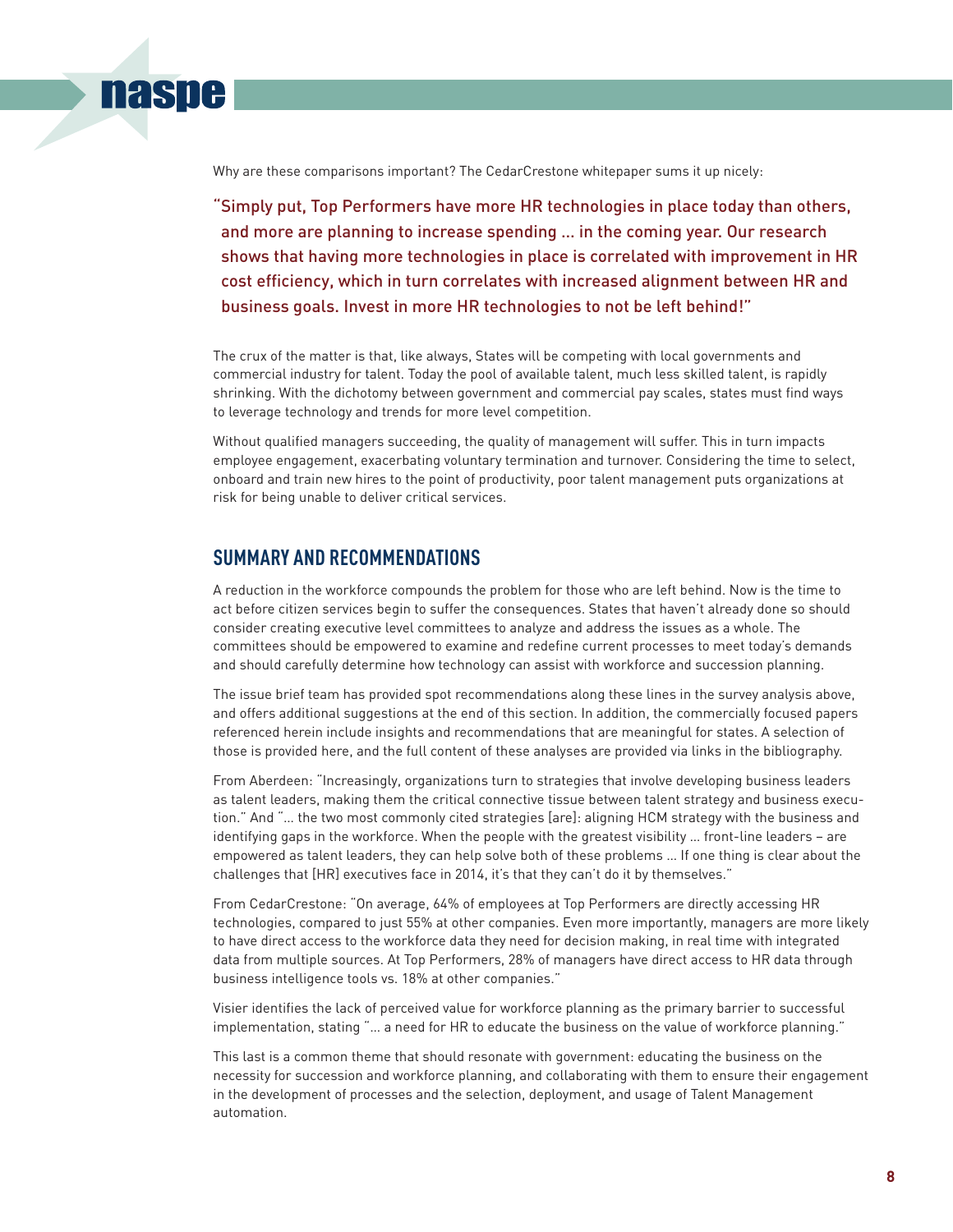Why are these comparisons important? The CedarCrestone whitepaper sums it up nicely:

"Simply put, Top Performers have more HR technologies in place today than others, and more are planning to increase spending … in the coming year. Our research shows that having more technologies in place is correlated with improvement in HR cost efficiency, which in turn correlates with increased alignment between HR and business goals. Invest in more HR technologies to not be left behind!"

The crux of the matter is that, like always, States will be competing with local governments and commercial industry for talent. Today the pool of available talent, much less skilled talent, is rapidly shrinking. With the dichotomy between government and commercial pay scales, states must find ways to leverage technology and trends for more level competition.

Without qualified managers succeeding, the quality of management will suffer. This in turn impacts employee engagement, exacerbating voluntary termination and turnover. Considering the time to select, onboard and train new hires to the point of productivity, poor talent management puts organizations at risk for being unable to deliver critical services.

## **SUMMARY AND RECOMMENDATIONS**

**naspe** 

A reduction in the workforce compounds the problem for those who are left behind. Now is the time to act before citizen services begin to suffer the consequences. States that haven't already done so should consider creating executive level committees to analyze and address the issues as a whole. The committees should be empowered to examine and redefine current processes to meet today's demands and should carefully determine how technology can assist with workforce and succession planning.

The issue brief team has provided spot recommendations along these lines in the survey analysis above, and offers additional suggestions at the end of this section. In addition, the commercially focused papers referenced herein include insights and recommendations that are meaningful for states. A selection of those is provided here, and the full content of these analyses are provided via links in the bibliography.

From Aberdeen: "Increasingly, organizations turn to strategies that involve developing business leaders as talent leaders, making them the critical connective tissue between talent strategy and business execution." And "… the two most commonly cited strategies [are]: aligning HCM strategy with the business and identifying gaps in the workforce. When the people with the greatest visibility … front-line leaders – are empowered as talent leaders, they can help solve both of these problems … If one thing is clear about the challenges that [HR] executives face in 2014, it's that they can't do it by themselves."

From CedarCrestone: "On average, 64% of employees at Top Performers are directly accessing HR technologies, compared to just 55% at other companies. Even more importantly, managers are more likely to have direct access to the workforce data they need for decision making, in real time with integrated data from multiple sources. At Top Performers, 28% of managers have direct access to HR data through business intelligence tools vs. 18% at other companies."

Visier identifies the lack of perceived value for workforce planning as the primary barrier to successful implementation, stating "… a need for HR to educate the business on the value of workforce planning."

This last is a common theme that should resonate with government: educating the business on the necessity for succession and workforce planning, and collaborating with them to ensure their engagement in the development of processes and the selection, deployment, and usage of Talent Management automation.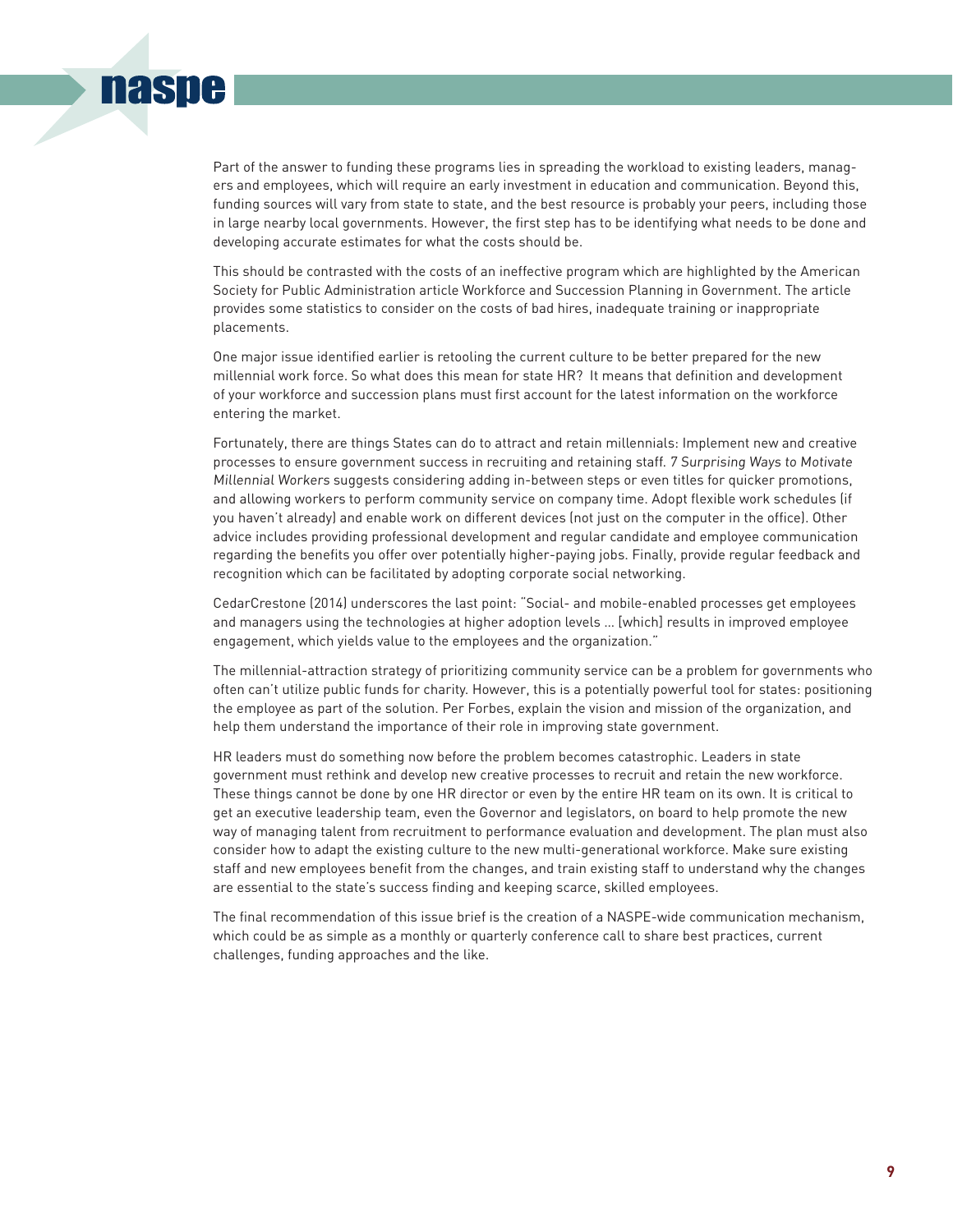# naspe

Part of the answer to funding these programs lies in spreading the workload to existing leaders, managers and employees, which will require an early investment in education and communication. Beyond this, funding sources will vary from state to state, and the best resource is probably your peers, including those in large nearby local governments. However, the first step has to be identifying what needs to be done and developing accurate estimates for what the costs should be.

This should be contrasted with the costs of an ineffective program which are highlighted by the American Society for Public Administration article Workforce and Succession Planning in Government. The article provides some statistics to consider on the costs of bad hires, inadequate training or inappropriate placements.

One major issue identified earlier is retooling the current culture to be better prepared for the new millennial work force. So what does this mean for state HR? It means that definition and development of your workforce and succession plans must first account for the latest information on the workforce entering the market.

Fortunately, there are things States can do to attract and retain millennials: Implement new and creative processes to ensure government success in recruiting and retaining staff. 7 Surprising Ways to Motivate Millennial Workers suggests considering adding in-between steps or even titles for quicker promotions, and allowing workers to perform community service on company time. Adopt flexible work schedules (if you haven't already) and enable work on different devices (not just on the computer in the office). Other advice includes providing professional development and regular candidate and employee communication regarding the benefits you offer over potentially higher-paying jobs. Finally, provide regular feedback and recognition which can be facilitated by adopting corporate social networking.

CedarCrestone (2014) underscores the last point: "Social- and mobile-enabled processes get employees and managers using the technologies at higher adoption levels … [which] results in improved employee engagement, which yields value to the employees and the organization."

The millennial-attraction strategy of prioritizing community service can be a problem for governments who often can't utilize public funds for charity. However, this is a potentially powerful tool for states: positioning the employee as part of the solution. Per Forbes, explain the vision and mission of the organization, and help them understand the importance of their role in improving state government.

HR leaders must do something now before the problem becomes catastrophic. Leaders in state government must rethink and develop new creative processes to recruit and retain the new workforce. These things cannot be done by one HR director or even by the entire HR team on its own. It is critical to get an executive leadership team, even the Governor and legislators, on board to help promote the new way of managing talent from recruitment to performance evaluation and development. The plan must also consider how to adapt the existing culture to the new multi-generational workforce. Make sure existing staff and new employees benefit from the changes, and train existing staff to understand why the changes are essential to the state's success finding and keeping scarce, skilled employees.

The final recommendation of this issue brief is the creation of a NASPE-wide communication mechanism, which could be as simple as a monthly or quarterly conference call to share best practices, current challenges, funding approaches and the like.